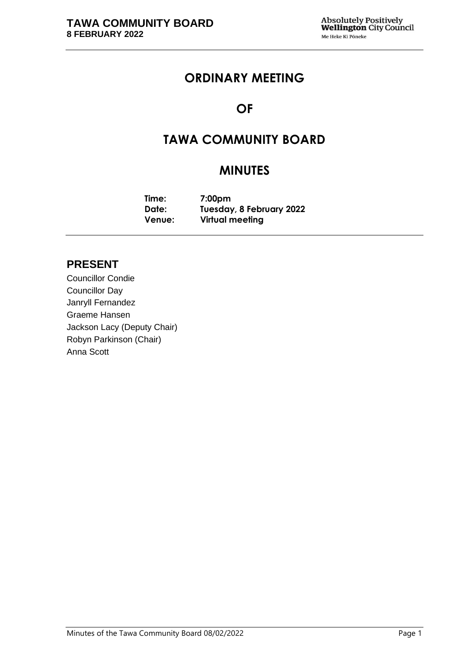## **ORDINARY MEETING**

# **OF**

# **TAWA COMMUNITY BOARD**

# **MINUTES**

**Time: 7:00pm Date: Tuesday, 8 February 2022 Venue: Virtual meeting**

## **PRESENT**

Councillor Condie Councillor Day Janryll Fernandez Graeme Hansen Jackson Lacy (Deputy Chair) Robyn Parkinson (Chair) Anna Scott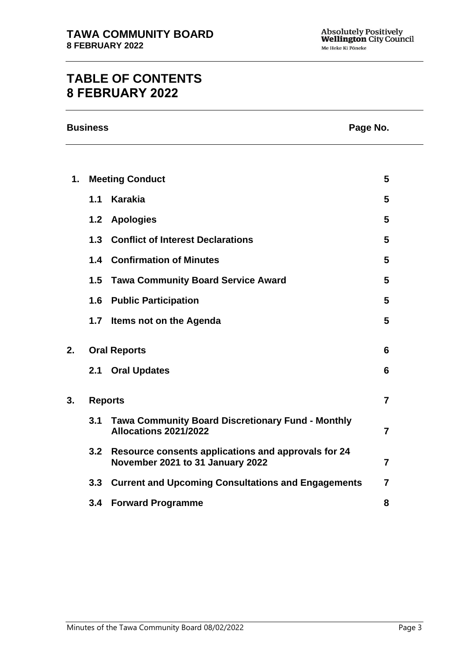# **TABLE OF CONTENTS 8 FEBRUARY 2022**

| <b>Business</b> | Page No. |
|-----------------|----------|
|-----------------|----------|

| 1. |                | <b>Meeting Conduct</b>                                                                  | 5               |
|----|----------------|-----------------------------------------------------------------------------------------|-----------------|
|    | 1.1            | <b>Karakia</b>                                                                          | 5               |
|    |                | 1.2 Apologies                                                                           | 5               |
|    |                | 1.3 Conflict of Interest Declarations                                                   | 5               |
|    |                | 1.4 Confirmation of Minutes                                                             | 5               |
|    | 1.5            | <b>Tawa Community Board Service Award</b>                                               | 5               |
|    |                | <b>1.6 Public Participation</b>                                                         | 5               |
|    | 1.7            | Items not on the Agenda                                                                 | $5\phantom{.0}$ |
| 2. |                | <b>Oral Reports</b>                                                                     | 6               |
|    |                | 2.1 Oral Updates                                                                        | 6               |
| 3. | <b>Reports</b> |                                                                                         | $\overline{7}$  |
|    | 3.1            | <b>Tawa Community Board Discretionary Fund - Monthly</b><br>Allocations 2021/2022       | $\overline{7}$  |
|    | 3.2            | Resource consents applications and approvals for 24<br>November 2021 to 31 January 2022 | $\overline{7}$  |
|    |                | 3.3 Current and Upcoming Consultations and Engagements                                  | $\overline{7}$  |
|    |                | 3.4 Forward Programme                                                                   | 8               |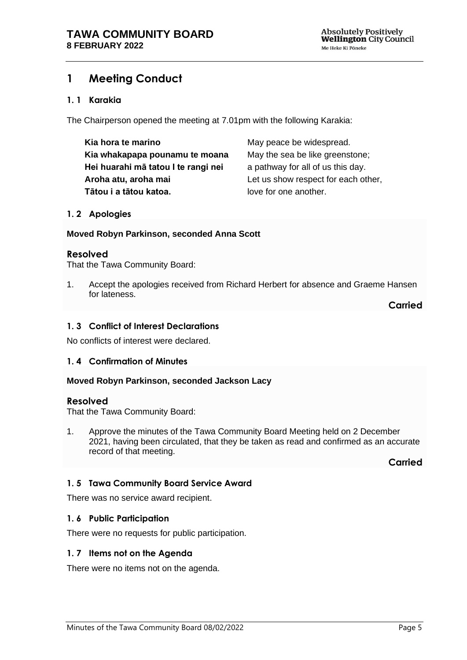## <span id="page-4-0"></span>**1 Meeting Conduct**

### **1. 1 Karakia**

The Chairperson opened the meeting at 7.01pm with the following Karakia:

| Kia hora te marino                  | May peace be widespread.            |
|-------------------------------------|-------------------------------------|
| Kia whakapapa pounamu te moana      | May the sea be like greenstone;     |
| Hei huarahi mā tatou I te rangi nei | a pathway for all of us this day.   |
| Aroha atu, aroha mai                | Let us show respect for each other, |
| Tātou i a tātou katoa.              | love for one another.               |

#### <span id="page-4-1"></span>**1. 2 Apologies**

#### **Moved Robyn Parkinson, seconded Anna Scott**

#### **Resolved**

That the Tawa Community Board:

1. Accept the apologies received from Richard Herbert for absence and Graeme Hansen for lateness.

**Carried**

#### <span id="page-4-2"></span>**1. 3 Conflict of Interest Declarations**

No conflicts of interest were declared.

#### <span id="page-4-3"></span>**1. 4 Confirmation of Minutes**

#### **Moved Robyn Parkinson, seconded Jackson Lacy**

#### **Resolved**

That the Tawa Community Board:

1. Approve the minutes of the Tawa Community Board Meeting held on 2 December 2021, having been circulated, that they be taken as read and confirmed as an accurate record of that meeting.

**Carried**

## <span id="page-4-4"></span>**1. 5 Tawa Community Board Service Award**

There was no service award recipient.

#### <span id="page-4-5"></span>**1. 6 Public Participation**

There were no requests for public participation.

#### <span id="page-4-6"></span>**1. 7 Items not on the Agenda**

There were no items not on the agenda.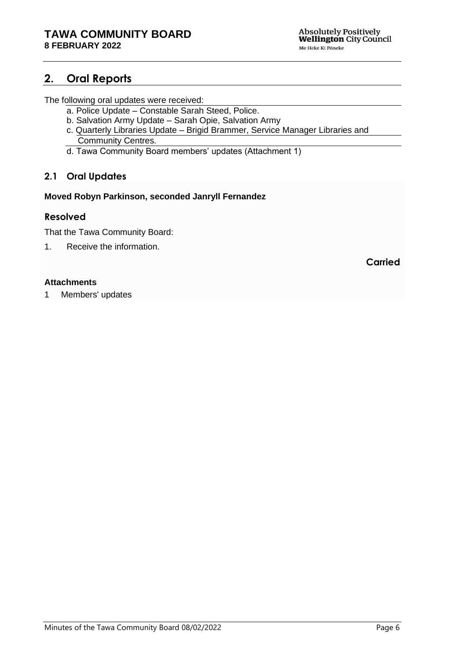## <span id="page-5-0"></span>**2. Oral Reports**

The following oral updates were received:

- a. Police Update Constable Sarah Steed, Police.
- b. Salvation Army Update Sarah Opie, Salvation Army
- c. Quarterly Libraries Update Brigid Brammer, Service Manager Libraries and Community Centres.
- d. Tawa Community Board members' updates (Attachment 1)

## <span id="page-5-1"></span>**2.1 Oral Updates**

### **Moved Robyn Parkinson, seconded Janryll Fernandez**

## **Resolved**

That the Tawa Community Board:

1. Receive the information.

**Carried**

### **Attachments**

1 Members' updates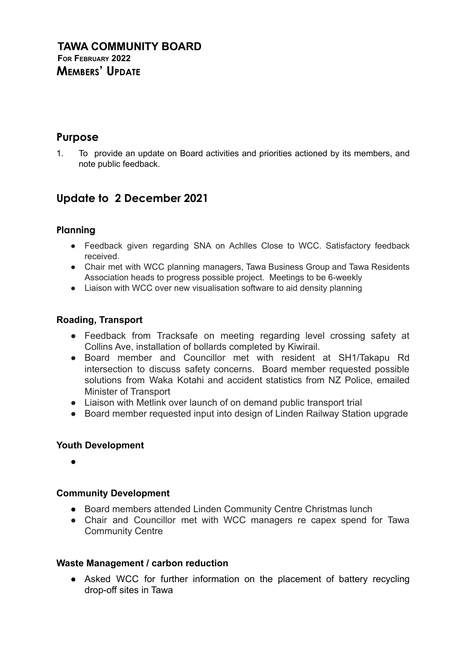## **Purpose**

1. To provide an update on Board activities and priorities actioned by its members, and note public feedback.

## **Update to 2 December 2021**

## **Planning**

- Feedback given regarding SNA on Achlles Close to WCC. Satisfactory feedback received.
- Chair met with WCC planning managers, Tawa Business Group and Tawa Residents Association heads to progress possible project. Meetings to be 6-weekly
- Liaison with WCC over new visualisation software to aid density planning

## **Roading, Transport**

- Feedback from Tracksafe on meeting regarding level crossing safety at Collins Ave, installation of bollards completed by Kiwirail.
- Board member and Councillor met with resident at SH1/Takapu Rd intersection to discuss safety concerns. Board member requested possible solutions from Waka Kotahi and accident statistics from NZ Police, emailed Minister of Transport
- Liaison with Metlink over launch of on demand public transport trial
- Board member requested input into design of Linden Railway Station upgrade

## **Youth Development**

●

## **Community Development**

- Board members attended Linden Community Centre Christmas lunch
- Chair and Councillor met with WCC managers re capex spend for Tawa Community Centre

## **Waste Management / carbon reduction**

• Asked WCC for further information on the placement of battery recycling drop-off sites in Tawa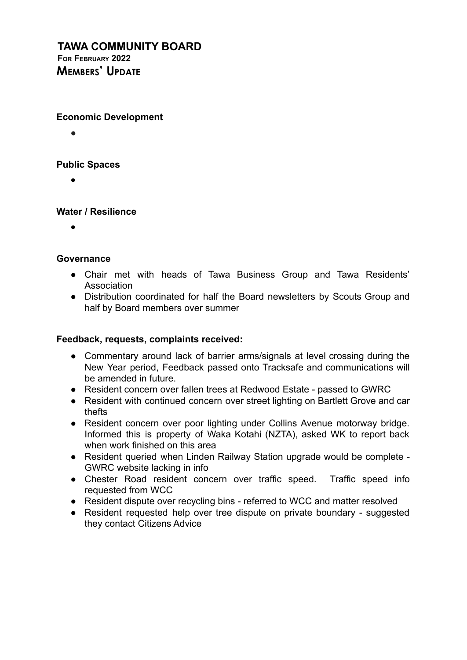## **TAWA COMMUNITY BOARD FOR FEBRUARY 2022 MEMBERS' UPDATE**

## **Economic Development**

●

## **Public Spaces**

●

## **Water / Resilience**

●

## **Governance**

- Chair met with heads of Tawa Business Group and Tawa Residents' Association
- Distribution coordinated for half the Board newsletters by Scouts Group and half by Board members over summer

## **Feedback, requests, complaints received:**

- Commentary around lack of barrier arms/signals at level crossing during the New Year period, Feedback passed onto Tracksafe and communications will be amended in future.
- Resident concern over fallen trees at Redwood Estate passed to GWRC
- Resident with continued concern over street lighting on Bartlett Grove and car thefts
- Resident concern over poor lighting under Collins Avenue motorway bridge. Informed this is property of Waka Kotahi (NZTA), asked WK to report back when work finished on this area
- Resident queried when Linden Railway Station upgrade would be complete GWRC website lacking in info
- Chester Road resident concern over traffic speed. Traffic speed info requested from WCC
- Resident dispute over recycling bins referred to WCC and matter resolved
- Resident requested help over tree dispute on private boundary suggested they contact Citizens Advice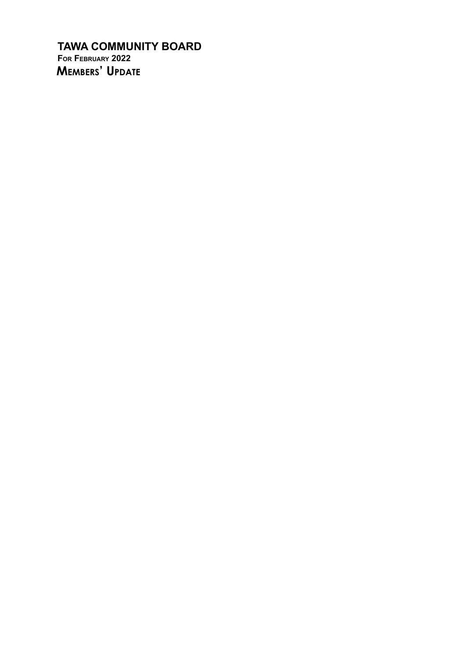**TAWA COMMUNITY BOARD** FOR FEBRUARY 2022 MEMBERS' UPDATE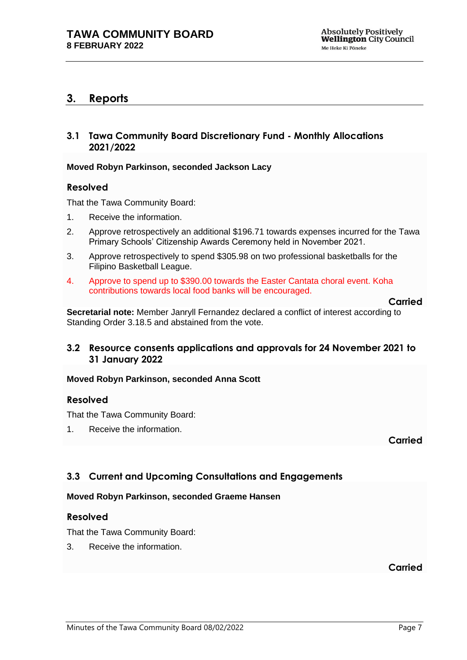## <span id="page-9-0"></span>**3. Reports**

## <span id="page-9-1"></span>**3.1 Tawa Community Board Discretionary Fund - Monthly Allocations 2021/2022**

#### **Moved Robyn Parkinson, seconded Jackson Lacy**

#### **Resolved**

That the Tawa Community Board:

- 1. Receive the information.
- 2. Approve retrospectively an additional \$196.71 towards expenses incurred for the Tawa Primary Schools' Citizenship Awards Ceremony held in November 2021.
- 3. Approve retrospectively to spend \$305.98 on two professional basketballs for the Filipino Basketball League.
- 4. Approve to spend up to \$390.00 towards the Easter Cantata choral event. Koha contributions towards local food banks will be encouraged.

#### **Carried**

**Secretarial note:** Member Janryll Fernandez declared a conflict of interest according to Standing Order 3.18.5 and abstained from the vote.

### <span id="page-9-2"></span>**3.2 Resource consents applications and approvals for 24 November 2021 to 31 January 2022**

#### **Moved Robyn Parkinson, seconded Anna Scott**

#### **Resolved**

That the Tawa Community Board:

1. Receive the information.

**Carried**

## <span id="page-9-3"></span>**3.3 Current and Upcoming Consultations and Engagements**

#### **Moved Robyn Parkinson, seconded Graeme Hansen**

#### **Resolved**

That the Tawa Community Board:

3. Receive the information.

## **Carried**